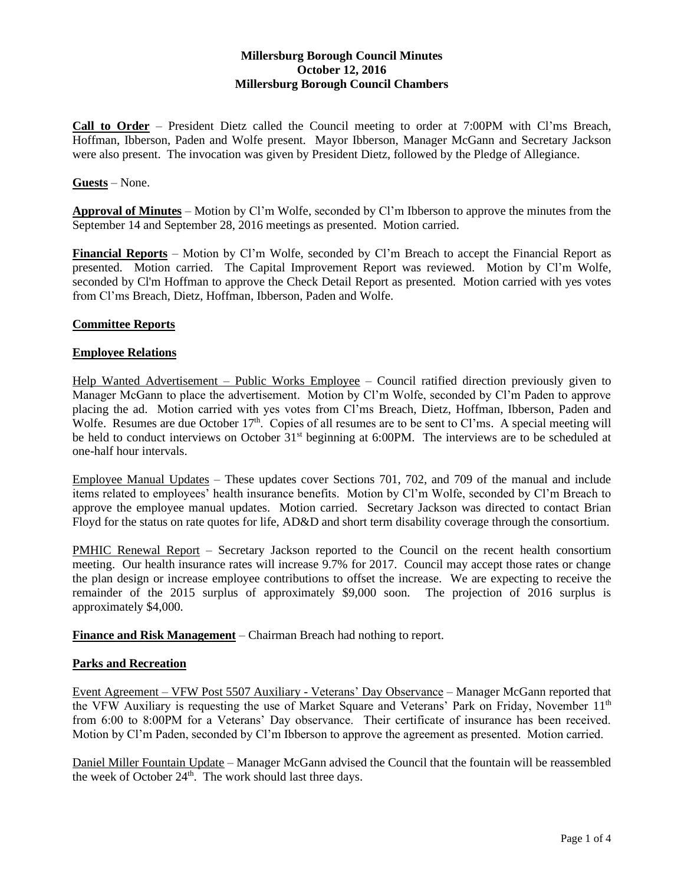# **Millersburg Borough Council Minutes October 12, 2016 Millersburg Borough Council Chambers**

**Call to Order** – President Dietz called the Council meeting to order at 7:00PM with Cl'ms Breach, Hoffman, Ibberson, Paden and Wolfe present. Mayor Ibberson, Manager McGann and Secretary Jackson were also present. The invocation was given by President Dietz, followed by the Pledge of Allegiance.

#### **Guests** – None.

**Approval of Minutes** – Motion by Cl'm Wolfe, seconded by Cl'm Ibberson to approve the minutes from the September 14 and September 28, 2016 meetings as presented. Motion carried.

**Financial Reports** – Motion by Cl'm Wolfe, seconded by Cl'm Breach to accept the Financial Report as presented. Motion carried. The Capital Improvement Report was reviewed. Motion by Cl'm Wolfe, seconded by Cl'm Hoffman to approve the Check Detail Report as presented. Motion carried with yes votes from Cl'ms Breach, Dietz, Hoffman, Ibberson, Paden and Wolfe.

### **Committee Reports**

### **Employee Relations**

Help Wanted Advertisement – Public Works Employee – Council ratified direction previously given to Manager McGann to place the advertisement. Motion by Cl'm Wolfe, seconded by Cl'm Paden to approve placing the ad. Motion carried with yes votes from Cl'ms Breach, Dietz, Hoffman, Ibberson, Paden and Wolfe. Resumes are due October  $17<sup>th</sup>$ . Copies of all resumes are to be sent to Cl'ms. A special meeting will be held to conduct interviews on October  $31<sup>st</sup>$  beginning at 6:00PM. The interviews are to be scheduled at one-half hour intervals.

Employee Manual Updates – These updates cover Sections 701, 702, and 709 of the manual and include items related to employees' health insurance benefits. Motion by Cl'm Wolfe, seconded by Cl'm Breach to approve the employee manual updates. Motion carried. Secretary Jackson was directed to contact Brian Floyd for the status on rate quotes for life, AD&D and short term disability coverage through the consortium.

PMHIC Renewal Report – Secretary Jackson reported to the Council on the recent health consortium meeting. Our health insurance rates will increase 9.7% for 2017. Council may accept those rates or change the plan design or increase employee contributions to offset the increase. We are expecting to receive the remainder of the 2015 surplus of approximately \$9,000 soon. The projection of 2016 surplus is approximately \$4,000.

**Finance and Risk Management** – Chairman Breach had nothing to report.

#### **Parks and Recreation**

Event Agreement – VFW Post 5507 Auxiliary - Veterans' Day Observance – Manager McGann reported that the VFW Auxiliary is requesting the use of Market Square and Veterans' Park on Friday, November 11<sup>th</sup> from 6:00 to 8:00PM for a Veterans' Day observance. Their certificate of insurance has been received. Motion by Cl'm Paden, seconded by Cl'm Ibberson to approve the agreement as presented. Motion carried.

Daniel Miller Fountain Update – Manager McGann advised the Council that the fountain will be reassembled the week of October 24<sup>th</sup>. The work should last three days.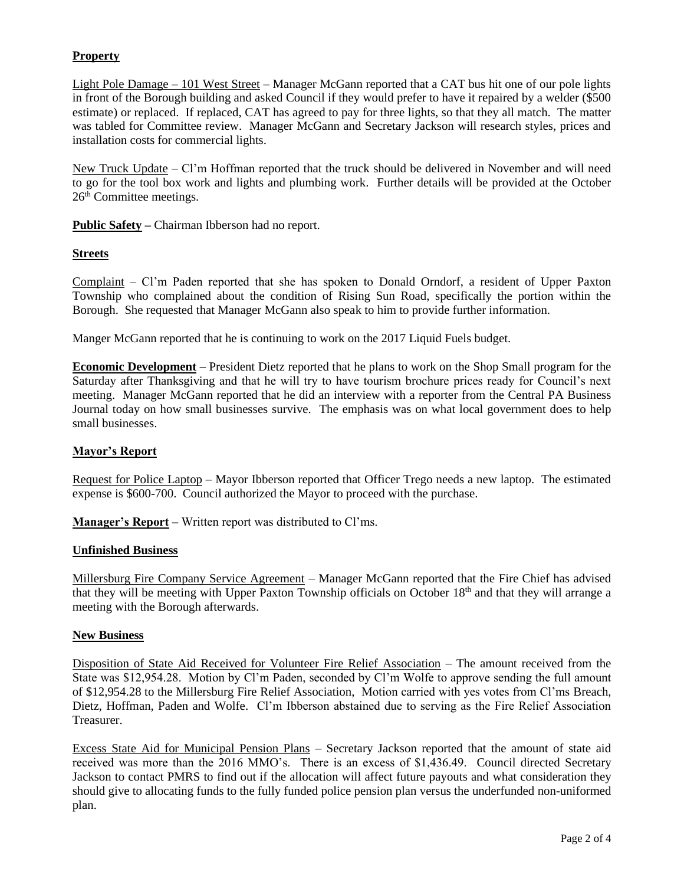# **Property**

Light Pole Damage – 101 West Street – Manager McGann reported that a CAT bus hit one of our pole lights in front of the Borough building and asked Council if they would prefer to have it repaired by a welder (\$500 estimate) or replaced. If replaced, CAT has agreed to pay for three lights, so that they all match. The matter was tabled for Committee review. Manager McGann and Secretary Jackson will research styles, prices and installation costs for commercial lights.

New Truck Update – Cl'm Hoffman reported that the truck should be delivered in November and will need to go for the tool box work and lights and plumbing work. Further details will be provided at the October 26<sup>th</sup> Committee meetings.

**Public Safety –** Chairman Ibberson had no report.

# **Streets**

Complaint – Cl'm Paden reported that she has spoken to Donald Orndorf, a resident of Upper Paxton Township who complained about the condition of Rising Sun Road, specifically the portion within the Borough. She requested that Manager McGann also speak to him to provide further information.

Manger McGann reported that he is continuing to work on the 2017 Liquid Fuels budget.

**Economic Development –** President Dietz reported that he plans to work on the Shop Small program for the Saturday after Thanksgiving and that he will try to have tourism brochure prices ready for Council's next meeting. Manager McGann reported that he did an interview with a reporter from the Central PA Business Journal today on how small businesses survive. The emphasis was on what local government does to help small businesses.

## **Mayor's Report**

Request for Police Laptop – Mayor Ibberson reported that Officer Trego needs a new laptop. The estimated expense is \$600-700. Council authorized the Mayor to proceed with the purchase.

**Manager's Report –** Written report was distributed to Cl'ms.

## **Unfinished Business**

Millersburg Fire Company Service Agreement – Manager McGann reported that the Fire Chief has advised that they will be meeting with Upper Paxton Township officials on October 18th and that they will arrange a meeting with the Borough afterwards.

## **New Business**

Disposition of State Aid Received for Volunteer Fire Relief Association – The amount received from the State was \$12,954.28. Motion by Cl'm Paden, seconded by Cl'm Wolfe to approve sending the full amount of \$12,954.28 to the Millersburg Fire Relief Association, Motion carried with yes votes from Cl'ms Breach, Dietz, Hoffman, Paden and Wolfe. Cl'm Ibberson abstained due to serving as the Fire Relief Association Treasurer.

Excess State Aid for Municipal Pension Plans – Secretary Jackson reported that the amount of state aid received was more than the 2016 MMO's. There is an excess of \$1,436.49. Council directed Secretary Jackson to contact PMRS to find out if the allocation will affect future payouts and what consideration they should give to allocating funds to the fully funded police pension plan versus the underfunded non-uniformed plan.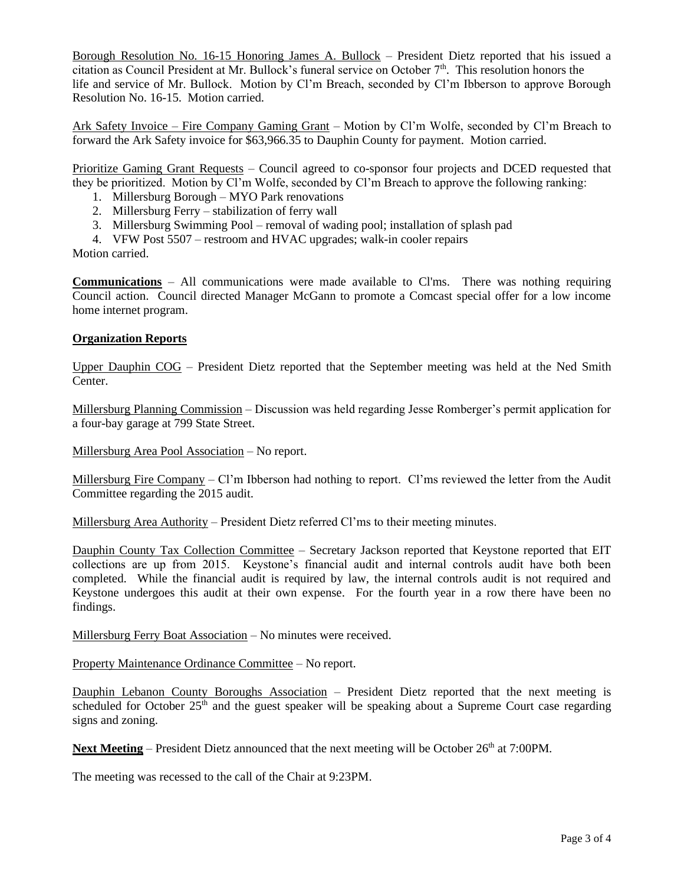Borough Resolution No. 16-15 Honoring James A. Bullock – President Dietz reported that his issued a citation as Council President at Mr. Bullock's funeral service on October  $7<sup>th</sup>$ . This resolution honors the life and service of Mr. Bullock. Motion by Cl'm Breach, seconded by Cl'm Ibberson to approve Borough Resolution No. 16-15. Motion carried.

Ark Safety Invoice – Fire Company Gaming Grant – Motion by Cl'm Wolfe, seconded by Cl'm Breach to forward the Ark Safety invoice for \$63,966.35 to Dauphin County for payment. Motion carried.

Prioritize Gaming Grant Requests – Council agreed to co-sponsor four projects and DCED requested that they be prioritized. Motion by Cl'm Wolfe, seconded by Cl'm Breach to approve the following ranking:

- 1. Millersburg Borough MYO Park renovations
- 2. Millersburg Ferry stabilization of ferry wall
- 3. Millersburg Swimming Pool removal of wading pool; installation of splash pad
- 4. VFW Post 5507 restroom and HVAC upgrades; walk-in cooler repairs

Motion carried.

**Communications** – All communications were made available to Cl'ms. There was nothing requiring Council action. Council directed Manager McGann to promote a Comcast special offer for a low income home internet program.

### **Organization Reports**

Upper Dauphin COG – President Dietz reported that the September meeting was held at the Ned Smith Center.

Millersburg Planning Commission – Discussion was held regarding Jesse Romberger's permit application for a four-bay garage at 799 State Street.

Millersburg Area Pool Association – No report.

Millersburg Fire Company – Cl'm Ibberson had nothing to report. Cl'ms reviewed the letter from the Audit Committee regarding the 2015 audit.

Millersburg Area Authority – President Dietz referred Cl'ms to their meeting minutes.

Dauphin County Tax Collection Committee – Secretary Jackson reported that Keystone reported that EIT collections are up from 2015. Keystone's financial audit and internal controls audit have both been completed. While the financial audit is required by law, the internal controls audit is not required and Keystone undergoes this audit at their own expense. For the fourth year in a row there have been no findings.

Millersburg Ferry Boat Association – No minutes were received.

Property Maintenance Ordinance Committee – No report.

Dauphin Lebanon County Boroughs Association – President Dietz reported that the next meeting is scheduled for October 25<sup>th</sup> and the guest speaker will be speaking about a Supreme Court case regarding signs and zoning.

Next Meeting – President Dietz announced that the next meeting will be October 26<sup>th</sup> at 7:00PM.

The meeting was recessed to the call of the Chair at 9:23PM.